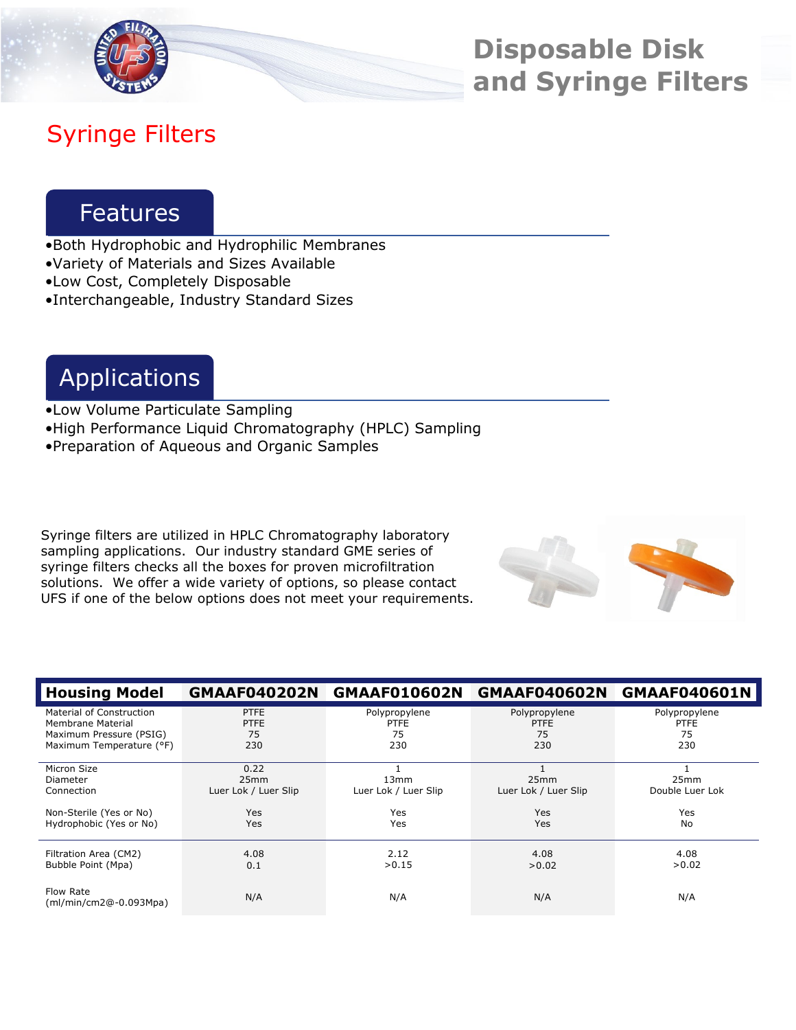

**Disposable Disk and Syringe Filters**

# Syringe Filters

# **Features**

- •Both Hydrophobic and Hydrophilic Membranes
- •Variety of Materials and Sizes Available
- •Low Cost, Completely Disposable
- •Interchangeable, Industry Standard Sizes

# Applications

- •Low Volume Particulate Sampling •High Performance Liquid Chromatography (HPLC) Sampling
- •Preparation of Aqueous and Organic Samples

Syringe filters are utilized in HPLC Chromatography laboratory sampling applications. Our industry standard GME series of syringe filters checks all the boxes for proven microfiltration solutions. We offer a wide variety of options, so please contact UFS if one of the below options does not meet your requirements.



| <b>Housing Model</b>                  | <b>GMAAF040202N</b>                              | <b>GMAAF010602N</b>                      | <b>GMAAF040602N</b>          | <b>GMAAF040601N</b>     |
|---------------------------------------|--------------------------------------------------|------------------------------------------|------------------------------|-------------------------|
| Material of Construction              | <b>PTFE</b>                                      | Polypropylene                            | Polypropylene                | Polypropylene           |
| Membrane Material                     | <b>PTFE</b>                                      | <b>PTFE</b>                              | <b>PTFE</b>                  | <b>PTFE</b>             |
| Maximum Pressure (PSIG)               | 75                                               | 75                                       | 75                           | 75                      |
| Maximum Temperature (°F)              | 230                                              | 230                                      | 230                          | 230                     |
| Micron Size<br>Diameter<br>Connection | 0.22<br>25 <sub>mm</sub><br>Luer Lok / Luer Slip | 13 <sub>mm</sub><br>Luer Lok / Luer Slip | 25mm<br>Luer Lok / Luer Slip | 25mm<br>Double Luer Lok |
| Non-Sterile (Yes or No)               | <b>Yes</b>                                       | <b>Yes</b>                               | Yes                          | Yes                     |
| Hydrophobic (Yes or No)               | Yes                                              | Yes                                      | Yes                          | No                      |
| Filtration Area (CM2)                 | 4.08                                             | 2.12                                     | 4.08                         | 4.08                    |
| Bubble Point (Mpa)                    | 0.1                                              | >0.15                                    | >0.02                        | >0.02                   |
| Flow Rate<br>(ml/min/cm2@-0.093Mpa)   | N/A                                              | N/A                                      | N/A                          | N/A                     |